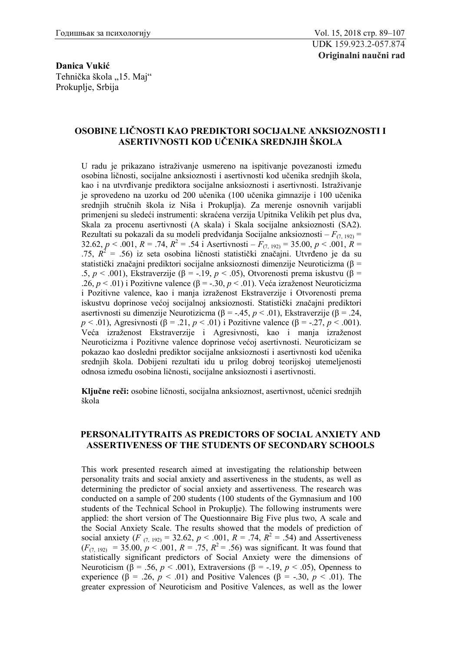**Danica Vukić** Tehnička škola "15. Maj" Prokuplje, Srbija

## **OSOBINE LIČNOSTI KAO PREDIKTORI SOCIJALNE ANKSIOZNOSTI I ASERTIVNOSTI KOD UČENIKA SREDNJIH ŠKOLA**

U radu je prikazano istraživanje usmereno na ispitivanje povezanosti između osobina ličnosti, socijalne anksioznosti i asertivnosti kod učenika srednjih škola, kao i na utvrđivanje prediktora socijalne anksioznosti i asertivnosti. Istraživanje je sprovedeno na uzorku od 200 učenika (100 učenika gimnazije i 100 učenika srednjih stručnih škola iz Niša i Prokuplja). Za merenje osnovnih varijabli primenjeni su sledeći instrumenti: skraćena verzija Upitnika Velikih pet plus dva, Skala za procenu asertivnosti (A skala) i Skala socijalne anksioznosti (SA2). Rezultati su pokazali da su modeli predviđanja Socijalne anksioznosti – *F*(7, 192) = 32.62,  $p < .001$ ,  $R = .74$ ,  $R^2 = .54$  i Asertivnosti –  $F_{(7, 192)} = 35.00$ ,  $p < .001$ ,  $R =$ .75,  $R^2$  = .56) iz seta osobina ličnosti statistički značajni. Utvrđeno je da su statistički značajni prediktori socijalne anksioznosti dimenzije Neuroticizma (β = .5, *p* < .001), Ekstraverzije (β = -.19, *p* < .05), Otvorenosti prema iskustvu (β = .26, *p* < .01) i Pozitivne valence (β = -.30, *p* < .01). Veća izraženost Neuroticizma i Pozitivne valence, kao i manja izraženost Ekstraverzije i Otvorenosti prema iskustvu doprinose većoj socijalnoj anksioznosti. Statistički značajni prediktori asertivnosti su dimenzije Neurotizicma (β = -.45, *p* < .01), Ekstraverzije (β = .24, *p* < .01), Agresivnosti (β = .21, *p* < .01) i Pozitivne valence (β = -.27, *p* < .001). Veća izraženost Ekstraverzije i Agresivnosti, kao i manja izraženost Neuroticizma i Pozitivne valence doprinose većoj asertivnosti. Neuroticizam se pokazao kao dosledni prediktor socijalne anksioznosti i asertivnosti kod učenika srednjih škola. Dobijeni rezultati idu u prilog dobroj teorijskoj utemeljenosti odnosa između osobina ličnosti, socijalne anksioznosti i asertivnosti.

**Ključne reči:** osobine ličnosti, socijalna anksioznost, asertivnost, učenici srednjih škola

## **PERSONALITYTRAITS AS PREDICTORS OF SOCIAL ANXIETY AND ASSERTIVENESS OF THE STUDENTS OF SECONDARY SCHOOLS**

This work presented research aimed at investigating the relationship between personality traits and social anxiety and assertiveness in the students, as well as determining the predictor of social anxiety and assertiveness. The research was conducted on a sample of 200 students (100 students of the Gymnasium and 100 students of the Technical School in Prokuplje). The following instruments were applied: the short version of The Questionnaire Big Five plus two, A scale and the Social Anxiety Scale. The results showed that the models of prediction of social anxiety (*F*  $_{(7, 192)} = 32.62$ ,  $p < .001$ ,  $R = .74$ ,  $R^2 = .54$ ) and Assertiveness  $(F_{(7, 192)} = 35.00, p < .001, R = .75, R^2 = .56)$  was significant. It was found that statistically significant predictors of Social Anxiety were the dimensions of Neuroticism (β = .56,  $p < .001$ ), Extraversions (β = -.19,  $p < .05$ ), Openness to experience ( $\beta$  = .26, *p* < .01) and Positive Valences ( $\beta$  = -.30, *p* < .01). The greater expression of Neuroticism and Positive Valences, as well as the lower